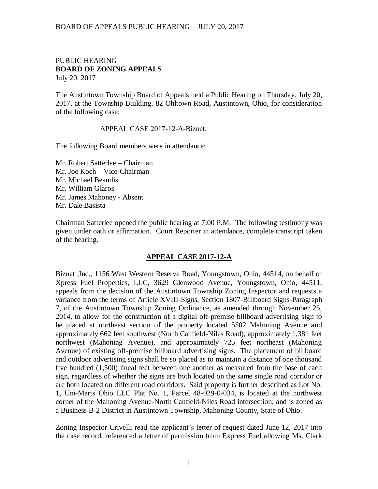## BOARD OF APPEALS PUBLIC HEARING – JULY 20, 2017

## PUBLIC HEARING **BOARD OF ZONING APPEALS**  July 20, 2017

The Austintown Township Board of Appeals held a Public Hearing on Thursday, July 20, 2017, at the Township Building, 82 Ohltown Road, Austintown, Ohio, for consideration of the following case:

## APPEAL CASE 2017-12-A-Biznet.

The following Board members were in attendance:

Mr. Robert Satterlee – Chairman Mr. Joe Koch – Vice-Chairman Mr. Michael Beaudis Mr. William Glaros Mr. James Mahoney - Absent Mr. Dale Basista

Chairman Satterlee opened the public hearing at 7:00 P.M. The following testimony was given under oath or affirmation. Court Reporter in attendance, complete transcript taken of the hearing.

## **APPEAL CASE 2017-12-A**

Biznet ,Inc., 1156 West Western Reserve Road, Youngstown, Ohio, 44514, on behalf of Xpress Fuel Properties, LLC, 3629 Glenwood Avenue, Youngstown, Ohio, 44511, appeals from the decision of the Austintown Township Zoning Inspector and requests a variance from the terms of Article XVIII-Signs, Section 1807-Billboard Signs-Paragraph 7, of the Austintown Township Zoning Ordinance, as amended through November 25, 2014, to allow for the construction of a digital off-premise billboard advertising sign to be placed at northeast section of the property located 5502 Mahoning Avenue and approximately 662 feet southwest (North Canfield-Niles Road), approximately 1,381 feet northwest (Mahoning Avenue), and approximately 725 feet northeast (Mahoning Avenue) of existing off-premise billboard advertising signs. The placement of billboard and outdoor advertising signs shall be so placed as to maintain a distance of one thousand five hundred (1,500) lineal feet between one another as measured from the base of each sign, regardless of whether the signs are both located on the same single road corridor or are both located on different road corridors. Said property is further described as Lot No. 1, Uni-Marts Ohio LLC Plat No. 1, Parcel 48-029-0-034, is located at the northwest corner of the Mahoning Avenue-North Canfield-Niles Road intersection; and is zoned as a Business B-2 District in Austintown Township, Mahoning County, State of Ohio.

Zoning Inspector Crivelli read the applicant's letter of request dated June 12, 2017 into the case record, referenced a letter of permission from Express Fuel allowing Ms. Clark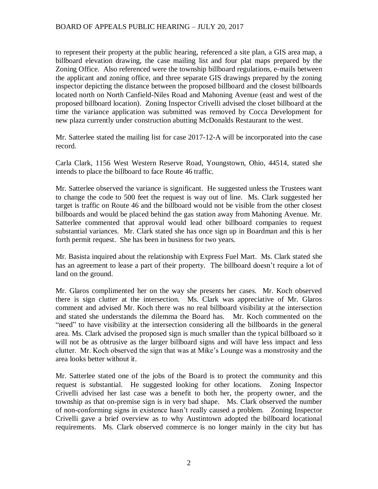to represent their property at the public hearing, referenced a site plan, a GIS area map, a billboard elevation drawing, the case mailing list and four plat maps prepared by the Zoning Office. Also referenced were the township billboard regulations, e-mails between the applicant and zoning office, and three separate GIS drawings prepared by the zoning inspector depicting the distance between the proposed billboard and the closest billboards located north on North Canfield-Niles Road and Mahoning Avenue (east and west of the proposed billboard location). Zoning Inspector Crivelli advised the closet billboard at the time the variance application was submitted was removed by Cocca Development for new plaza currently under construction abutting McDonalds Restaurant to the west.

Mr. Satterlee stated the mailing list for case 2017-12-A will be incorporated into the case record.

Carla Clark, 1156 West Western Reserve Road, Youngstown, Ohio, 44514, stated she intends to place the billboard to face Route 46 traffic.

Mr. Satterlee observed the variance is significant. He suggested unless the Trustees want to change the code to 500 feet the request is way out of line. Ms. Clark suggested her target is traffic on Route 46 and the billboard would not be visible from the other closest billboards and would be placed behind the gas station away from Mahoning Avenue. Mr. Satterlee commented that approval would lead other billboard companies to request substantial variances. Mr. Clark stated she has once sign up in Boardman and this is her forth permit request. She has been in business for two years.

Mr. Basista inquired about the relationship with Express Fuel Mart. Ms. Clark stated she has an agreement to lease a part of their property. The billboard doesn't require a lot of land on the ground.

Mr. Glaros complimented her on the way she presents her cases. Mr. Koch observed there is sign clutter at the intersection. Ms. Clark was appreciative of Mr. Glaros comment and advised Mr. Koch there was no real billboard visibility at the intersection and stated she understands the dilemma the Board has. Mr. Koch commented on the "need" to have visibility at the intersection considering all the billboards in the general area. Ms. Clark advised the proposed sign is much smaller than the typical billboard so it will not be as obtrusive as the larger billboard signs and will have less impact and less clutter. Mr. Koch observed the sign that was at Mike's Lounge was a monstrosity and the area looks better without it.

Mr. Satterlee stated one of the jobs of the Board is to protect the community and this request is substantial. He suggested looking for other locations. Zoning Inspector Crivelli advised her last case was a benefit to both her, the property owner, and the township as that on-premise sign is in very bad shape. Ms. Clark observed the number of non-conforming signs in existence hasn't really caused a problem. Zoning Inspector Crivelli gave a brief overview as to why Austintown adopted the billboard locational requirements. Ms. Clark observed commerce is no longer mainly in the city but has